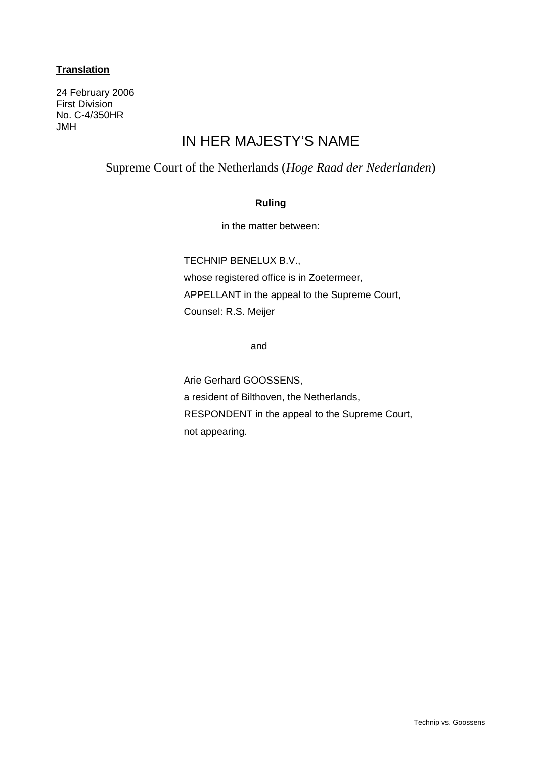# **Translation**

24 February 2006 First Division No. C-4/350HR JMH

# IN HER MAJESTY'S NAME

# Supreme Court of the Netherlands (*Hoge Raad der Nederlanden*)

# **Ruling**

in the matter between:

TECHNIP BENELUX B.V.,

whose registered office is in Zoetermeer, APPELLANT in the appeal to the Supreme Court, Counsel: R.S. Meijer

and

Arie Gerhard GOOSSENS, a resident of Bilthoven, the Netherlands, RESPONDENT in the appeal to the Supreme Court, not appearing.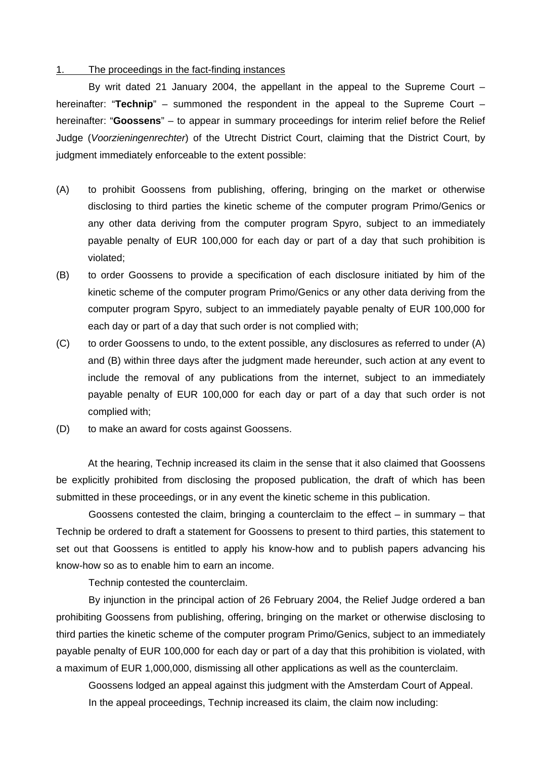#### 1. The proceedings in the fact-finding instances

 By writ dated 21 January 2004, the appellant in the appeal to the Supreme Court – hereinafter: "**Technip**" – summoned the respondent in the appeal to the Supreme Court – hereinafter: "**Goossens**" – to appear in summary proceedings for interim relief before the Relief Judge (*Voorzieningenrechter*) of the Utrecht District Court, claiming that the District Court, by judgment immediately enforceable to the extent possible:

- (A) to prohibit Goossens from publishing, offering, bringing on the market or otherwise disclosing to third parties the kinetic scheme of the computer program Primo/Genics or any other data deriving from the computer program Spyro, subject to an immediately payable penalty of EUR 100,000 for each day or part of a day that such prohibition is violated;
- (B) to order Goossens to provide a specification of each disclosure initiated by him of the kinetic scheme of the computer program Primo/Genics or any other data deriving from the computer program Spyro, subject to an immediately payable penalty of EUR 100,000 for each day or part of a day that such order is not complied with;
- (C) to order Goossens to undo, to the extent possible, any disclosures as referred to under (A) and (B) within three days after the judgment made hereunder, such action at any event to include the removal of any publications from the internet, subject to an immediately payable penalty of EUR 100,000 for each day or part of a day that such order is not complied with;
- (D) to make an award for costs against Goossens.

At the hearing, Technip increased its claim in the sense that it also claimed that Goossens be explicitly prohibited from disclosing the proposed publication, the draft of which has been submitted in these proceedings, or in any event the kinetic scheme in this publication.

Goossens contested the claim, bringing a counterclaim to the effect  $-$  in summary  $-$  that Technip be ordered to draft a statement for Goossens to present to third parties, this statement to set out that Goossens is entitled to apply his know-how and to publish papers advancing his know-how so as to enable him to earn an income.

Technip contested the counterclaim.

 By injunction in the principal action of 26 February 2004, the Relief Judge ordered a ban prohibiting Goossens from publishing, offering, bringing on the market or otherwise disclosing to third parties the kinetic scheme of the computer program Primo/Genics, subject to an immediately payable penalty of EUR 100,000 for each day or part of a day that this prohibition is violated, with a maximum of EUR 1,000,000, dismissing all other applications as well as the counterclaim.

 Goossens lodged an appeal against this judgment with the Amsterdam Court of Appeal. In the appeal proceedings, Technip increased its claim, the claim now including: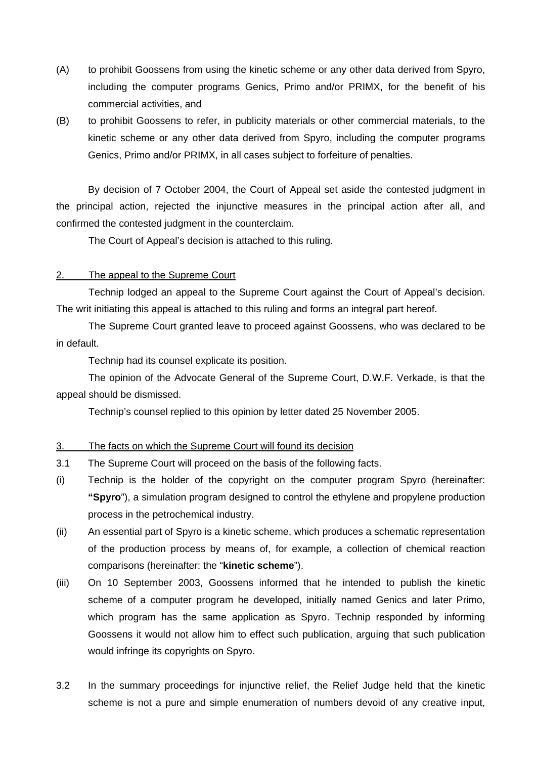- (A) to prohibit Goossens from using the kinetic scheme or any other data derived from Spyro, including the computer programs Genics, Primo and/or PRIMX, for the benefit of his commercial activities, and
- (B) to prohibit Goossens to refer, in publicity materials or other commercial materials, to the kinetic scheme or any other data derived from Spyro, including the computer programs Genics, Primo and/or PRIMX, in all cases subject to forfeiture of penalties.

By decision of 7 October 2004, the Court of Appeal set aside the contested judgment in the principal action, rejected the injunctive measures in the principal action after all, and confirmed the contested judgment in the counterclaim.

The Court of Appeal's decision is attached to this ruling.

### 2. The appeal to the Supreme Court

 Technip lodged an appeal to the Supreme Court against the Court of Appeal's decision. The writ initiating this appeal is attached to this ruling and forms an integral part hereof.

 The Supreme Court granted leave to proceed against Goossens, who was declared to be in default.

Technip had its counsel explicate its position.

 The opinion of the Advocate General of the Supreme Court, D.W.F. Verkade, is that the appeal should be dismissed.

Technip's counsel replied to this opinion by letter dated 25 November 2005.

# 3. The facts on which the Supreme Court will found its decision

- 3.1 The Supreme Court will proceed on the basis of the following facts.
- (i) Technip is the holder of the copyright on the computer program Spyro (hereinafter: **"Spyro**"), a simulation program designed to control the ethylene and propylene production process in the petrochemical industry.
- (ii) An essential part of Spyro is a kinetic scheme, which produces a schematic representation of the production process by means of, for example, a collection of chemical reaction comparisons (hereinafter: the "**kinetic scheme**").
- (iii) On 10 September 2003, Goossens informed that he intended to publish the kinetic scheme of a computer program he developed, initially named Genics and later Primo, which program has the same application as Spyro. Technip responded by informing Goossens it would not allow him to effect such publication, arguing that such publication would infringe its copyrights on Spyro.
- 3.2 In the summary proceedings for injunctive relief, the Relief Judge held that the kinetic scheme is not a pure and simple enumeration of numbers devoid of any creative input,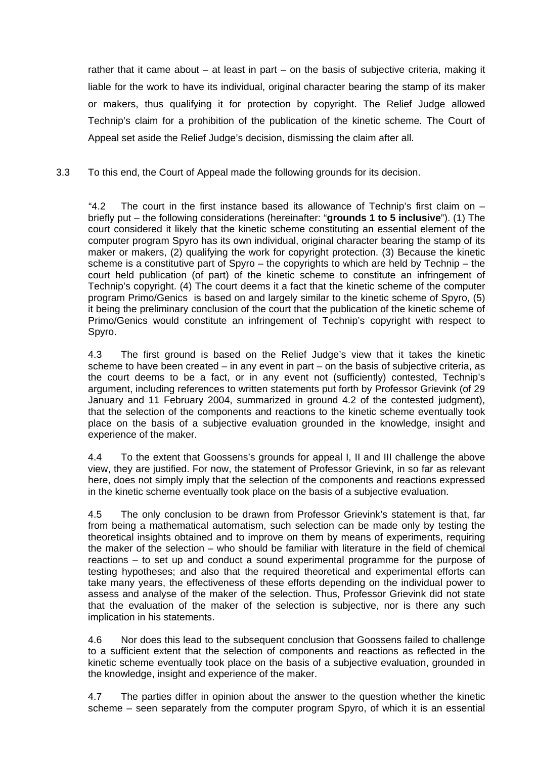rather that it came about – at least in part – on the basis of subjective criteria, making it liable for the work to have its individual, original character bearing the stamp of its maker or makers, thus qualifying it for protection by copyright. The Relief Judge allowed Technip's claim for a prohibition of the publication of the kinetic scheme. The Court of Appeal set aside the Relief Judge's decision, dismissing the claim after all.

3.3 To this end, the Court of Appeal made the following grounds for its decision.

 "4.2 The court in the first instance based its allowance of Technip's first claim on – briefly put – the following considerations (hereinafter: "**grounds 1 to 5 inclusive**"). (1) The court considered it likely that the kinetic scheme constituting an essential element of the computer program Spyro has its own individual, original character bearing the stamp of its maker or makers, (2) qualifying the work for copyright protection. (3) Because the kinetic scheme is a constitutive part of Spyro – the copyrights to which are held by Technip – the court held publication (of part) of the kinetic scheme to constitute an infringement of Technip's copyright. (4) The court deems it a fact that the kinetic scheme of the computer program Primo/Genics is based on and largely similar to the kinetic scheme of Spyro, (5) it being the preliminary conclusion of the court that the publication of the kinetic scheme of Primo/Genics would constitute an infringement of Technip's copyright with respect to Spyro.

4.3 The first ground is based on the Relief Judge's view that it takes the kinetic scheme to have been created – in any event in part – on the basis of subjective criteria, as the court deems to be a fact, or in any event not (sufficiently) contested, Technip's argument, including references to written statements put forth by Professor Grievink (of 29 January and 11 February 2004, summarized in ground 4.2 of the contested judgment), that the selection of the components and reactions to the kinetic scheme eventually took place on the basis of a subjective evaluation grounded in the knowledge, insight and experience of the maker.

4.4 To the extent that Goossens's grounds for appeal I, II and III challenge the above view, they are justified. For now, the statement of Professor Grievink, in so far as relevant here, does not simply imply that the selection of the components and reactions expressed in the kinetic scheme eventually took place on the basis of a subjective evaluation.

4.5 The only conclusion to be drawn from Professor Grievink's statement is that, far from being a mathematical automatism, such selection can be made only by testing the theoretical insights obtained and to improve on them by means of experiments, requiring the maker of the selection – who should be familiar with literature in the field of chemical reactions – to set up and conduct a sound experimental programme for the purpose of testing hypotheses; and also that the required theoretical and experimental efforts can take many years, the effectiveness of these efforts depending on the individual power to assess and analyse of the maker of the selection. Thus, Professor Grievink did not state that the evaluation of the maker of the selection is subjective, nor is there any such implication in his statements.

4.6 Nor does this lead to the subsequent conclusion that Goossens failed to challenge to a sufficient extent that the selection of components and reactions as reflected in the kinetic scheme eventually took place on the basis of a subjective evaluation, grounded in the knowledge, insight and experience of the maker.

4.7 The parties differ in opinion about the answer to the question whether the kinetic scheme – seen separately from the computer program Spyro, of which it is an essential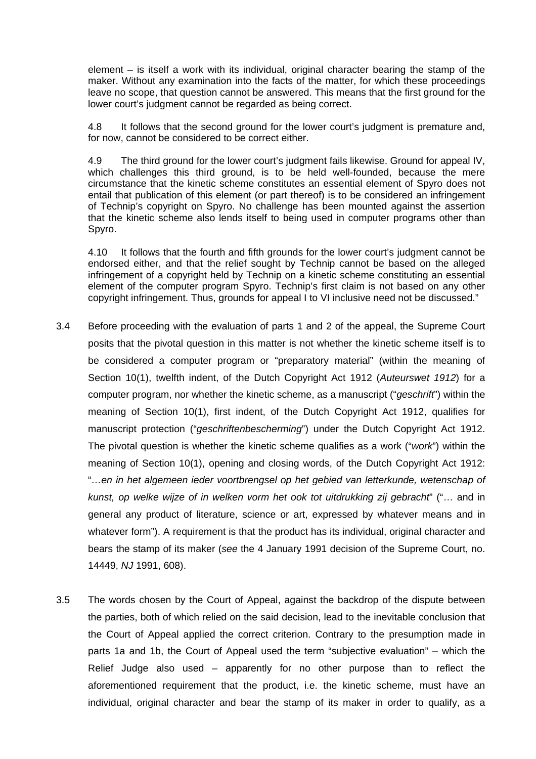element – is itself a work with its individual, original character bearing the stamp of the maker. Without any examination into the facts of the matter, for which these proceedings leave no scope, that question cannot be answered. This means that the first ground for the lower court's judgment cannot be regarded as being correct.

4.8 It follows that the second ground for the lower court's judgment is premature and, for now, cannot be considered to be correct either.

4.9 The third ground for the lower court's judgment fails likewise. Ground for appeal IV, which challenges this third ground, is to be held well-founded, because the mere circumstance that the kinetic scheme constitutes an essential element of Spyro does not entail that publication of this element (or part thereof) is to be considered an infringement of Technip's copyright on Spyro. No challenge has been mounted against the assertion that the kinetic scheme also lends itself to being used in computer programs other than Spyro.

4.10 It follows that the fourth and fifth grounds for the lower court's judgment cannot be endorsed either, and that the relief sought by Technip cannot be based on the alleged infringement of a copyright held by Technip on a kinetic scheme constituting an essential element of the computer program Spyro. Technip's first claim is not based on any other copyright infringement. Thus, grounds for appeal I to VI inclusive need not be discussed."

- 3.4 Before proceeding with the evaluation of parts 1 and 2 of the appeal, the Supreme Court posits that the pivotal question in this matter is not whether the kinetic scheme itself is to be considered a computer program or "preparatory material" (within the meaning of Section 10(1), twelfth indent, of the Dutch Copyright Act 1912 (*Auteurswet 1912*) for a computer program, nor whether the kinetic scheme, as a manuscript ("*geschrift*") within the meaning of Section 10(1), first indent, of the Dutch Copyright Act 1912, qualifies for manuscript protection ("*geschriftenbescherming*") under the Dutch Copyright Act 1912. The pivotal question is whether the kinetic scheme qualifies as a work ("*work*") within the meaning of Section 10(1), opening and closing words, of the Dutch Copyright Act 1912: "*…en in het algemeen ieder voortbrengsel op het gebied van letterkunde, wetenschap of kunst, op welke wijze of in welken vorm het ook tot uitdrukking zij gebracht*" ("… and in general any product of literature, science or art, expressed by whatever means and in whatever form"). A requirement is that the product has its individual, original character and bears the stamp of its maker (*see* the 4 January 1991 decision of the Supreme Court, no. 14449, *NJ* 1991, 608).
- 3.5 The words chosen by the Court of Appeal, against the backdrop of the dispute between the parties, both of which relied on the said decision, lead to the inevitable conclusion that the Court of Appeal applied the correct criterion. Contrary to the presumption made in parts 1a and 1b, the Court of Appeal used the term "subjective evaluation" – which the Relief Judge also used – apparently for no other purpose than to reflect the aforementioned requirement that the product, i.e. the kinetic scheme, must have an individual, original character and bear the stamp of its maker in order to qualify, as a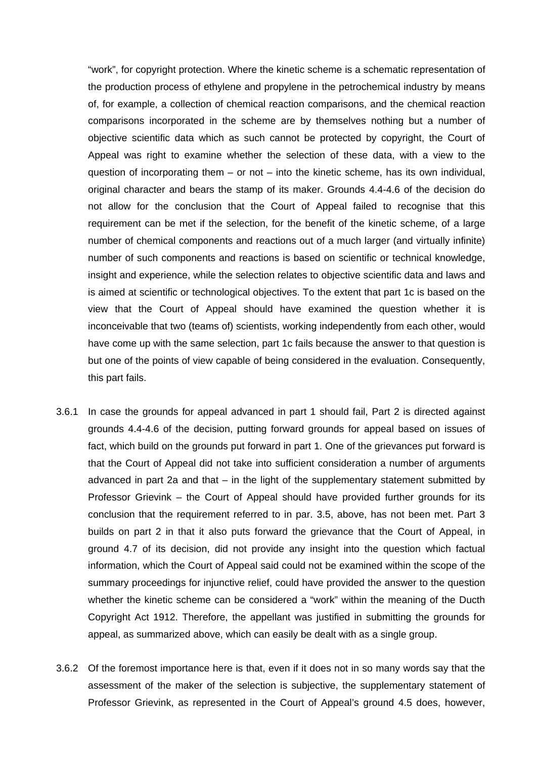"work", for copyright protection. Where the kinetic scheme is a schematic representation of the production process of ethylene and propylene in the petrochemical industry by means of, for example, a collection of chemical reaction comparisons, and the chemical reaction comparisons incorporated in the scheme are by themselves nothing but a number of objective scientific data which as such cannot be protected by copyright, the Court of Appeal was right to examine whether the selection of these data, with a view to the question of incorporating them  $-$  or not  $-$  into the kinetic scheme, has its own individual, original character and bears the stamp of its maker. Grounds 4.4-4.6 of the decision do not allow for the conclusion that the Court of Appeal failed to recognise that this requirement can be met if the selection, for the benefit of the kinetic scheme, of a large number of chemical components and reactions out of a much larger (and virtually infinite) number of such components and reactions is based on scientific or technical knowledge, insight and experience, while the selection relates to objective scientific data and laws and is aimed at scientific or technological objectives. To the extent that part 1c is based on the view that the Court of Appeal should have examined the question whether it is inconceivable that two (teams of) scientists, working independently from each other, would have come up with the same selection, part 1c fails because the answer to that question is but one of the points of view capable of being considered in the evaluation. Consequently, this part fails.

- 3.6.1 In case the grounds for appeal advanced in part 1 should fail, Part 2 is directed against grounds 4.4-4.6 of the decision, putting forward grounds for appeal based on issues of fact, which build on the grounds put forward in part 1. One of the grievances put forward is that the Court of Appeal did not take into sufficient consideration a number of arguments advanced in part 2a and that – in the light of the supplementary statement submitted by Professor Grievink – the Court of Appeal should have provided further grounds for its conclusion that the requirement referred to in par. 3.5, above, has not been met. Part 3 builds on part 2 in that it also puts forward the grievance that the Court of Appeal, in ground 4.7 of its decision, did not provide any insight into the question which factual information, which the Court of Appeal said could not be examined within the scope of the summary proceedings for injunctive relief, could have provided the answer to the question whether the kinetic scheme can be considered a "work" within the meaning of the Ducth Copyright Act 1912. Therefore, the appellant was justified in submitting the grounds for appeal, as summarized above, which can easily be dealt with as a single group.
- 3.6.2 Of the foremost importance here is that, even if it does not in so many words say that the assessment of the maker of the selection is subjective, the supplementary statement of Professor Grievink, as represented in the Court of Appeal's ground 4.5 does, however,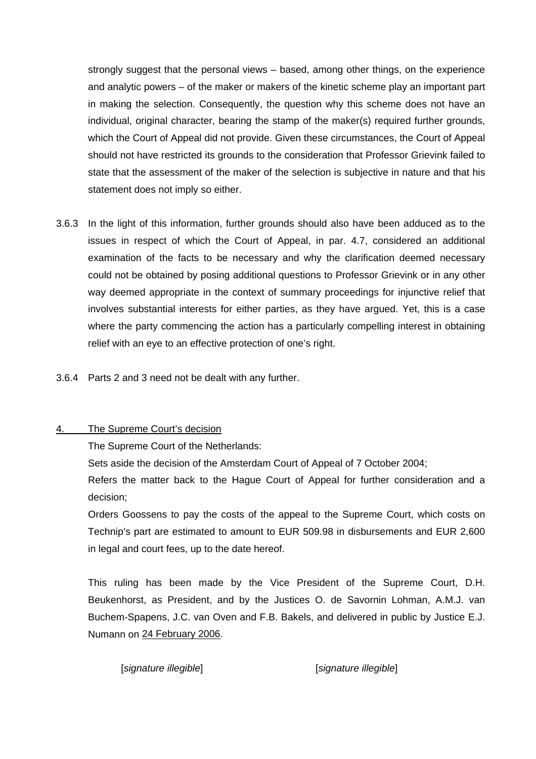strongly suggest that the personal views – based, among other things, on the experience and analytic powers – of the maker or makers of the kinetic scheme play an important part in making the selection. Consequently, the question why this scheme does not have an individual, original character, bearing the stamp of the maker(s) required further grounds, which the Court of Appeal did not provide. Given these circumstances, the Court of Appeal should not have restricted its grounds to the consideration that Professor Grievink failed to state that the assessment of the maker of the selection is subjective in nature and that his statement does not imply so either.

- 3.6.3 In the light of this information, further grounds should also have been adduced as to the issues in respect of which the Court of Appeal, in par. 4.7, considered an additional examination of the facts to be necessary and why the clarification deemed necessary could not be obtained by posing additional questions to Professor Grievink or in any other way deemed appropriate in the context of summary proceedings for injunctive relief that involves substantial interests for either parties, as they have argued. Yet, this is a case where the party commencing the action has a particularly compelling interest in obtaining relief with an eye to an effective protection of one's right.
- 3.6.4 Parts 2 and 3 need not be dealt with any further.

# 4. The Supreme Court's decision

The Supreme Court of the Netherlands:

Sets aside the decision of the Amsterdam Court of Appeal of 7 October 2004;

 Refers the matter back to the Hague Court of Appeal for further consideration and a decision;

 Orders Goossens to pay the costs of the appeal to the Supreme Court, which costs on Technip's part are estimated to amount to EUR 509.98 in disbursements and EUR 2,600 in legal and court fees, up to the date hereof.

 This ruling has been made by the Vice President of the Supreme Court, D.H. Beukenhorst, as President, and by the Justices O. de Savornin Lohman, A.M.J. van Buchem-Spapens, J.C. van Oven and F.B. Bakels, and delivered in public by Justice E.J. Numann on 24 February 2006.

[*signature illegible*] [*signature illegible*]